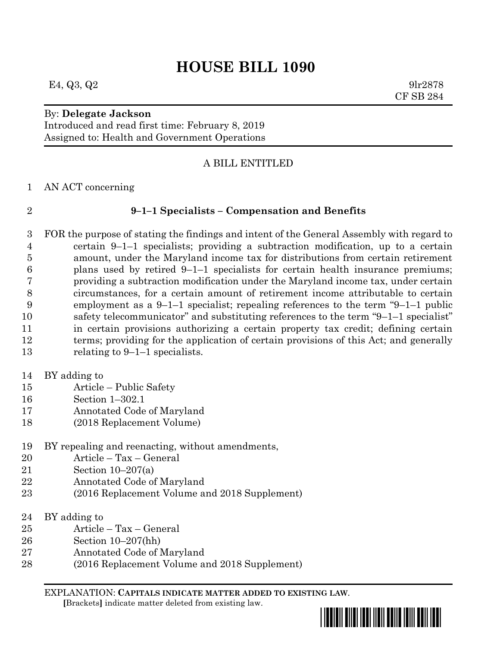# **HOUSE BILL 1090**

E4, Q3, Q2 9lr2878

### By: **Delegate Jackson**

Introduced and read first time: February 8, 2019 Assigned to: Health and Government Operations

#### A BILL ENTITLED

AN ACT concerning

#### **9–1–1 Specialists – Compensation and Benefits**

 FOR the purpose of stating the findings and intent of the General Assembly with regard to certain 9–1–1 specialists; providing a subtraction modification, up to a certain amount, under the Maryland income tax for distributions from certain retirement plans used by retired 9–1–1 specialists for certain health insurance premiums; providing a subtraction modification under the Maryland income tax, under certain circumstances, for a certain amount of retirement income attributable to certain employment as a 9–1–1 specialist; repealing references to the term "9–1–1 public safety telecommunicator" and substituting references to the term "9–1–1 specialist" in certain provisions authorizing a certain property tax credit; defining certain 12 terms; providing for the application of certain provisions of this Act; and generally relating to 9–1–1 specialists.

- BY adding to
- Article Public Safety
- Section 1–302.1
- Annotated Code of Maryland
- (2018 Replacement Volume)
- BY repealing and reenacting, without amendments,
- Article Tax General
- Section 10–207(a)
- Annotated Code of Maryland
- (2016 Replacement Volume and 2018 Supplement)
- BY adding to
- Article Tax General
- Section 10–207(hh)
- Annotated Code of Maryland
- (2016 Replacement Volume and 2018 Supplement)

EXPLANATION: **CAPITALS INDICATE MATTER ADDED TO EXISTING LAW**.  **[**Brackets**]** indicate matter deleted from existing law.



CF SB 284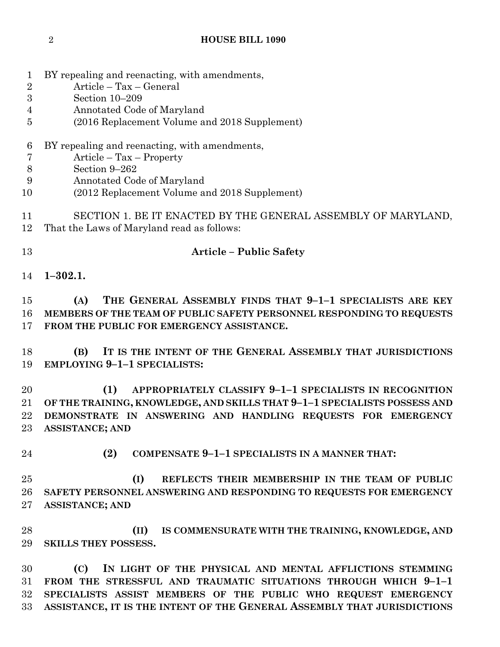| $\overline{2}$   | Article - Tax - General                                                   |
|------------------|---------------------------------------------------------------------------|
| $\boldsymbol{3}$ | Section 10-209                                                            |
| $\overline{4}$   | Annotated Code of Maryland                                                |
| 5                | (2016 Replacement Volume and 2018 Supplement)                             |
|                  |                                                                           |
| 6                | BY repealing and reenacting, with amendments,                             |
| $\overline{7}$   | $Article - Tax - Property$                                                |
| $8\,$            | Section 9-262                                                             |
| 9                | Annotated Code of Maryland                                                |
| 10               | (2012 Replacement Volume and 2018 Supplement)                             |
| 11<br>12         | SECTION 1. BE IT ENACTED BY THE GENERAL ASSEMBLY OF MARYLAND,             |
|                  | That the Laws of Maryland read as follows:                                |
| 13               | <b>Article - Public Safety</b>                                            |
| 14               | $1 - 302.1.$                                                              |
|                  |                                                                           |
| 15               | THE GENERAL ASSEMBLY FINDS THAT 9-1-1 SPECIALISTS ARE KEY<br>(A)          |
| 16               | MEMBERS OF THE TEAM OF PUBLIC SAFETY PERSONNEL RESPONDING TO REQUESTS     |
| 17               | FROM THE PUBLIC FOR EMERGENCY ASSISTANCE.                                 |
| 18               | IT IS THE INTENT OF THE GENERAL ASSEMBLY THAT JURISDICTIONS<br>(B)        |
| 19               | <b>EMPLOYING 9-1-1 SPECIALISTS:</b>                                       |
| 20               | (1)<br>APPROPRIATELY CLASSIFY 9-1-1 SPECIALISTS IN RECOGNITION            |
| 21               | OF THE TRAINING, KNOWLEDGE, AND SKILLS THAT 9-1-1 SPECIALISTS POSSESS AND |
| 22               | DEMONSTRATE IN ANSWERING AND HANDLING REQUESTS FOR EMERGENCY              |
| 23               | <b>ASSISTANCE; AND</b>                                                    |
|                  |                                                                           |
| 24               | (2)<br><b>COMPENSATE 9-1-1 SPECIALISTS IN A MANNER THAT:</b>              |
| 25               | (I)<br>REFLECTS THEIR MEMBERSHIP IN THE TEAM OF PUBLIC                    |
| 26               | SAFETY PERSONNEL ANSWERING AND RESPONDING TO REQUESTS FOR EMERGENCY       |
| 27               | <b>ASSISTANCE; AND</b>                                                    |
|                  |                                                                           |
| 28               | (II)<br>IS COMMENSURATE WITH THE TRAINING, KNOWLEDGE, AND                 |
| 29               | <b>SKILLS THEY POSSESS.</b>                                               |
| 30               | IN LIGHT OF THE PHYSICAL AND MENTAL AFFLICTIONS STEMMING<br>(C)           |
| 31               | FROM THE STRESSFUL AND TRAUMATIC SITUATIONS THROUGH WHICH 9-1-1           |
| 32               | SPECIALISTS ASSIST MEMBERS OF THE PUBLIC WHO REQUEST EMERGENCY            |
| 33               | ASSISTANCE, IT IS THE INTENT OF THE GENERAL ASSEMBLY THAT JURISDICTIONS   |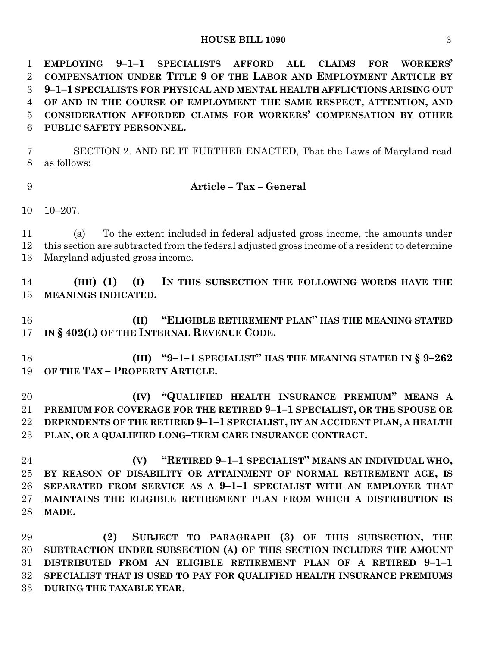#### **HOUSE BILL 1090** 3

 **EMPLOYING 9–1–1 SPECIALISTS AFFORD ALL CLAIMS FOR WORKERS' COMPENSATION UNDER TITLE 9 OF THE LABOR AND EMPLOYMENT ARTICLE BY 9–1–1 SPECIALISTS FOR PHYSICAL AND MENTAL HEALTH AFFLICTIONS ARISING OUT OF AND IN THE COURSE OF EMPLOYMENT THE SAME RESPECT, ATTENTION, AND CONSIDERATION AFFORDED CLAIMS FOR WORKERS' COMPENSATION BY OTHER PUBLIC SAFETY PERSONNEL.**

 SECTION 2. AND BE IT FURTHER ENACTED, That the Laws of Maryland read as follows:

#### **Article – Tax – General**

10–207.

 (a) To the extent included in federal adjusted gross income, the amounts under this section are subtracted from the federal adjusted gross income of a resident to determine Maryland adjusted gross income.

 **(HH) (1) (I) IN THIS SUBSECTION THE FOLLOWING WORDS HAVE THE MEANINGS INDICATED.**

 **(II) "ELIGIBLE RETIREMENT PLAN" HAS THE MEANING STATED IN § 402(L) OF THE INTERNAL REVENUE CODE.**

 **(III) "9–1–1 SPECIALIST" HAS THE MEANING STATED IN § 9–262 OF THE TAX – PROPERTY ARTICLE.**

 **(IV) "QUALIFIED HEALTH INSURANCE PREMIUM" MEANS A PREMIUM FOR COVERAGE FOR THE RETIRED 9–1–1 SPECIALIST, OR THE SPOUSE OR DEPENDENTS OF THE RETIRED 9–1–1 SPECIALIST, BY AN ACCIDENT PLAN, A HEALTH PLAN, OR A QUALIFIED LONG–TERM CARE INSURANCE CONTRACT.**

 **(V) "RETIRED 9–1–1 SPECIALIST" MEANS AN INDIVIDUAL WHO, BY REASON OF DISABILITY OR ATTAINMENT OF NORMAL RETIREMENT AGE, IS SEPARATED FROM SERVICE AS A 9–1–1 SPECIALIST WITH AN EMPLOYER THAT MAINTAINS THE ELIGIBLE RETIREMENT PLAN FROM WHICH A DISTRIBUTION IS MADE.**

 **(2) SUBJECT TO PARAGRAPH (3) OF THIS SUBSECTION, THE SUBTRACTION UNDER SUBSECTION (A) OF THIS SECTION INCLUDES THE AMOUNT DISTRIBUTED FROM AN ELIGIBLE RETIREMENT PLAN OF A RETIRED 9–1–1 SPECIALIST THAT IS USED TO PAY FOR QUALIFIED HEALTH INSURANCE PREMIUMS DURING THE TAXABLE YEAR.**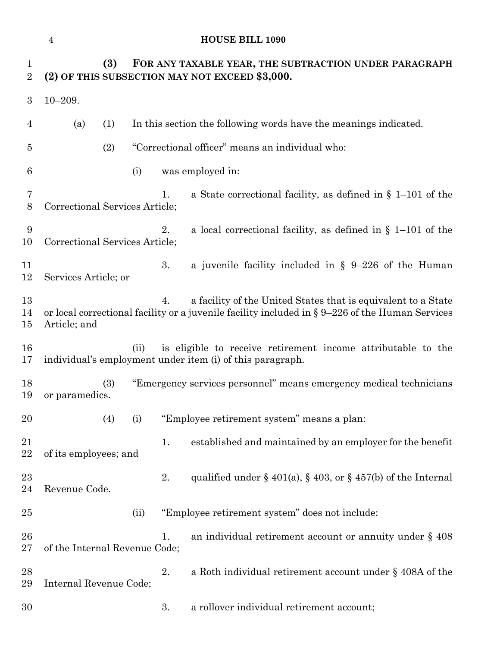# **HOUSE BILL 1090**

| $\mathbf 1$<br>$\overline{2}$ | (3)                            | FOR ANY TAXABLE YEAR, THE SUBTRACTION UNDER PARAGRAPH<br>(2) OF THIS SUBSECTION MAY NOT EXCEED \$3,000.                                                                   |
|-------------------------------|--------------------------------|---------------------------------------------------------------------------------------------------------------------------------------------------------------------------|
| 3                             | $10 - 209.$                    |                                                                                                                                                                           |
| $\overline{4}$                | (a)<br>(1)                     | In this section the following words have the meanings indicated.                                                                                                          |
| 5                             | (2)                            | "Correctional officer" means an individual who:                                                                                                                           |
| 6                             | (i)                            | was employed in:                                                                                                                                                          |
| 7<br>$8\,$                    | Correctional Services Article; | a State correctional facility, as defined in $\S$ 1–101 of the<br>1.                                                                                                      |
| 9<br>10                       | Correctional Services Article; | a local correctional facility, as defined in $\S$ 1–101 of the<br>2.                                                                                                      |
| 11<br>12                      | Services Article; or           | 3.<br>a juvenile facility included in $\S$ 9-226 of the Human                                                                                                             |
| 13<br>14<br>$15\,$            | Article; and                   | a facility of the United States that is equivalent to a State<br>4.<br>or local correctional facility or a juvenile facility included in $\S 9-226$ of the Human Services |
| 16<br>17                      | (ii)                           | is eligible to receive retirement income attributable to the<br>individual's employment under item (i) of this paragraph.                                                 |
| 18<br>19                      | (3)<br>or paramedics.          | "Emergency services personnel" means emergency medical technicians                                                                                                        |
| 20                            | (4)<br>(i)                     | "Employee retirement system" means a plan:                                                                                                                                |
| 21<br>22                      | of its employees; and          | established and maintained by an employer for the benefit<br>1.                                                                                                           |
| 23<br>24                      | Revenue Code.                  | 2.<br>qualified under $\S$ 401(a), $\S$ 403, or $\S$ 457(b) of the Internal                                                                                               |
| $25\,$                        | (ii)                           | "Employee retirement system" does not include:                                                                                                                            |
| 26<br>$27\,$                  | of the Internal Revenue Code;  | an individual retirement account or annuity under $\S$ 408<br>1.                                                                                                          |
| 28<br>29                      | Internal Revenue Code;         | a Roth individual retirement account under $\S$ 408A of the<br>2.                                                                                                         |
| 30                            |                                | 3.<br>a rollover individual retirement account;                                                                                                                           |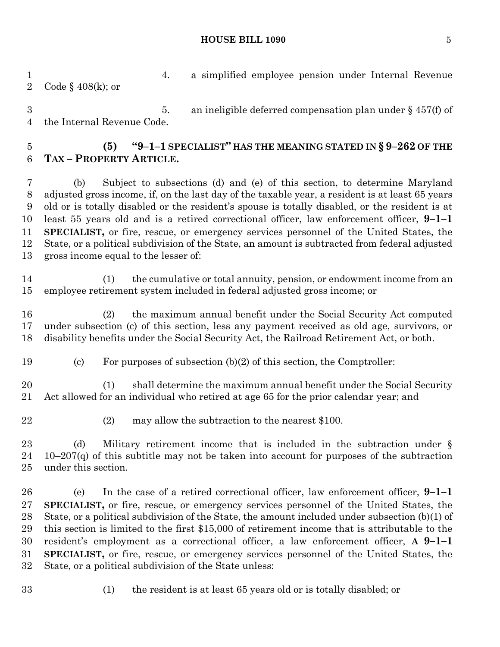#### **HOUSE BILL 1090** 5

 4. a simplified employee pension under Internal Revenue Code § 408(k); or

 5. an ineligible deferred compensation plan under § 457(f) of the Internal Revenue Code.

# **(5) "9–1–1 SPECIALIST" HAS THE MEANING STATED IN § 9–262 OF THE TAX – PROPERTY ARTICLE.**

 (b) Subject to subsections (d) and (e) of this section, to determine Maryland adjusted gross income, if, on the last day of the taxable year, a resident is at least 65 years old or is totally disabled or the resident's spouse is totally disabled, or the resident is at least 55 years old and is a retired correctional officer, law enforcement officer, **9–1–1 SPECIALIST,** or fire, rescue, or emergency services personnel of the United States, the State, or a political subdivision of the State, an amount is subtracted from federal adjusted gross income equal to the lesser of:

 (1) the cumulative or total annuity, pension, or endowment income from an employee retirement system included in federal adjusted gross income; or

 (2) the maximum annual benefit under the Social Security Act computed under subsection (c) of this section, less any payment received as old age, survivors, or disability benefits under the Social Security Act, the Railroad Retirement Act, or both.

(c) For purposes of subsection (b)(2) of this section, the Comptroller:

 (1) shall determine the maximum annual benefit under the Social Security Act allowed for an individual who retired at age 65 for the prior calendar year; and

- 
- (2) may allow the subtraction to the nearest \$100.

 (d) Military retirement income that is included in the subtraction under § 24 10–207 $(q)$  of this subtitle may not be taken into account for purposes of the subtraction under this section.

 (e) In the case of a retired correctional officer, law enforcement officer, **9–1–1 SPECIALIST,** or fire, rescue, or emergency services personnel of the United States, the State, or a political subdivision of the State, the amount included under subsection (b)(1) of this section is limited to the first \$15,000 of retirement income that is attributable to the resident's employment as a correctional officer, a law enforcement officer, **A 9–1–1 SPECIALIST,** or fire, rescue, or emergency services personnel of the United States, the State, or a political subdivision of the State unless:

- 
- (1) the resident is at least 65 years old or is totally disabled; or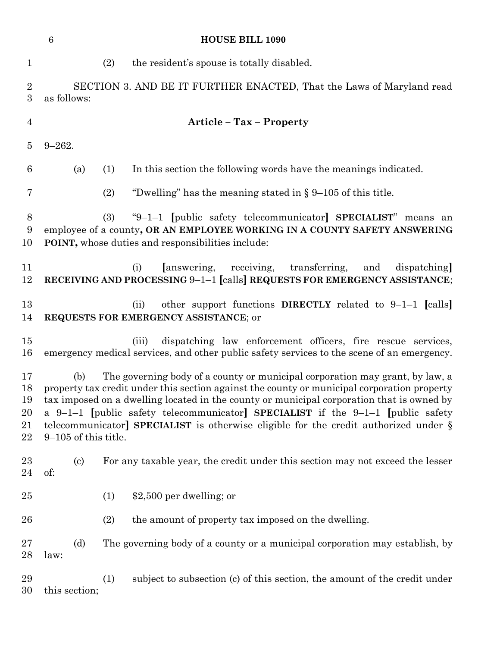|                                  | 6                                 | <b>HOUSE BILL 1090</b>                                                                                                                                                                                                                                                                                                                                                                                                                                 |
|----------------------------------|-----------------------------------|--------------------------------------------------------------------------------------------------------------------------------------------------------------------------------------------------------------------------------------------------------------------------------------------------------------------------------------------------------------------------------------------------------------------------------------------------------|
| $\mathbf{1}$                     |                                   | (2)<br>the resident's spouse is totally disabled.                                                                                                                                                                                                                                                                                                                                                                                                      |
| $\overline{2}$<br>3              | as follows:                       | SECTION 3. AND BE IT FURTHER ENACTED, That the Laws of Maryland read                                                                                                                                                                                                                                                                                                                                                                                   |
| $\overline{4}$                   |                                   | <b>Article - Tax - Property</b>                                                                                                                                                                                                                                                                                                                                                                                                                        |
| $\overline{5}$                   | $9 - 262.$                        |                                                                                                                                                                                                                                                                                                                                                                                                                                                        |
| 6                                | (a)                               | In this section the following words have the meanings indicated.<br>(1)                                                                                                                                                                                                                                                                                                                                                                                |
| 7                                |                                   | (2)<br>"Dwelling" has the meaning stated in $\S 9$ –105 of this title.                                                                                                                                                                                                                                                                                                                                                                                 |
| 8<br>9<br>10                     |                                   | "9-1-1 [public safety telecommunicator] SPECIALIST" means an<br>(3)<br>employee of a county, OR AN EMPLOYEE WORKING IN A COUNTY SAFETY ANSWERING<br>POINT, whose duties and responsibilities include:                                                                                                                                                                                                                                                  |
| 11<br>12                         |                                   | answering,<br>receiving,<br>transferring,<br>dispatching<br>(i)<br>and<br>RECEIVING AND PROCESSING 9-1-1 [calls] REQUESTS FOR EMERGENCY ASSISTANCE;                                                                                                                                                                                                                                                                                                    |
| 13<br>14                         |                                   | other support functions DIRECTLY related to $9-1-1$ [calls]<br>(ii)<br>REQUESTS FOR EMERGENCY ASSISTANCE; or                                                                                                                                                                                                                                                                                                                                           |
| 15<br>16                         |                                   | dispatching law enforcement officers, fire rescue services,<br>(iii)<br>emergency medical services, and other public safety services to the scene of an emergency.                                                                                                                                                                                                                                                                                     |
| 17<br>18<br>19<br>20<br>21<br>22 | (b)<br>$9-105$ of this title.     | The governing body of a county or municipal corporation may grant, by law, a<br>property tax credit under this section against the county or municipal corporation property<br>tax imposed on a dwelling located in the county or municipal corporation that is owned by<br>a 9-1-1 [public safety telecommunicator] SPECIALIST if the 9-1-1 [public safety<br>telecommunicator] SPECIALIST is otherwise eligible for the credit authorized under $\S$ |
| $^{23}$<br>24                    | $\left( \mathrm{c}\right)$<br>of: | For any taxable year, the credit under this section may not exceed the lesser                                                                                                                                                                                                                                                                                                                                                                          |
| 25                               |                                   | $$2,500$ per dwelling; or<br>(1)                                                                                                                                                                                                                                                                                                                                                                                                                       |
| 26                               |                                   | the amount of property tax imposed on the dwelling.<br>(2)                                                                                                                                                                                                                                                                                                                                                                                             |
| $27\,$<br>28                     | (d)<br>law:                       | The governing body of a county or a municipal corporation may establish, by                                                                                                                                                                                                                                                                                                                                                                            |
| 29<br>30                         | this section;                     | subject to subsection (c) of this section, the amount of the credit under<br>(1)                                                                                                                                                                                                                                                                                                                                                                       |